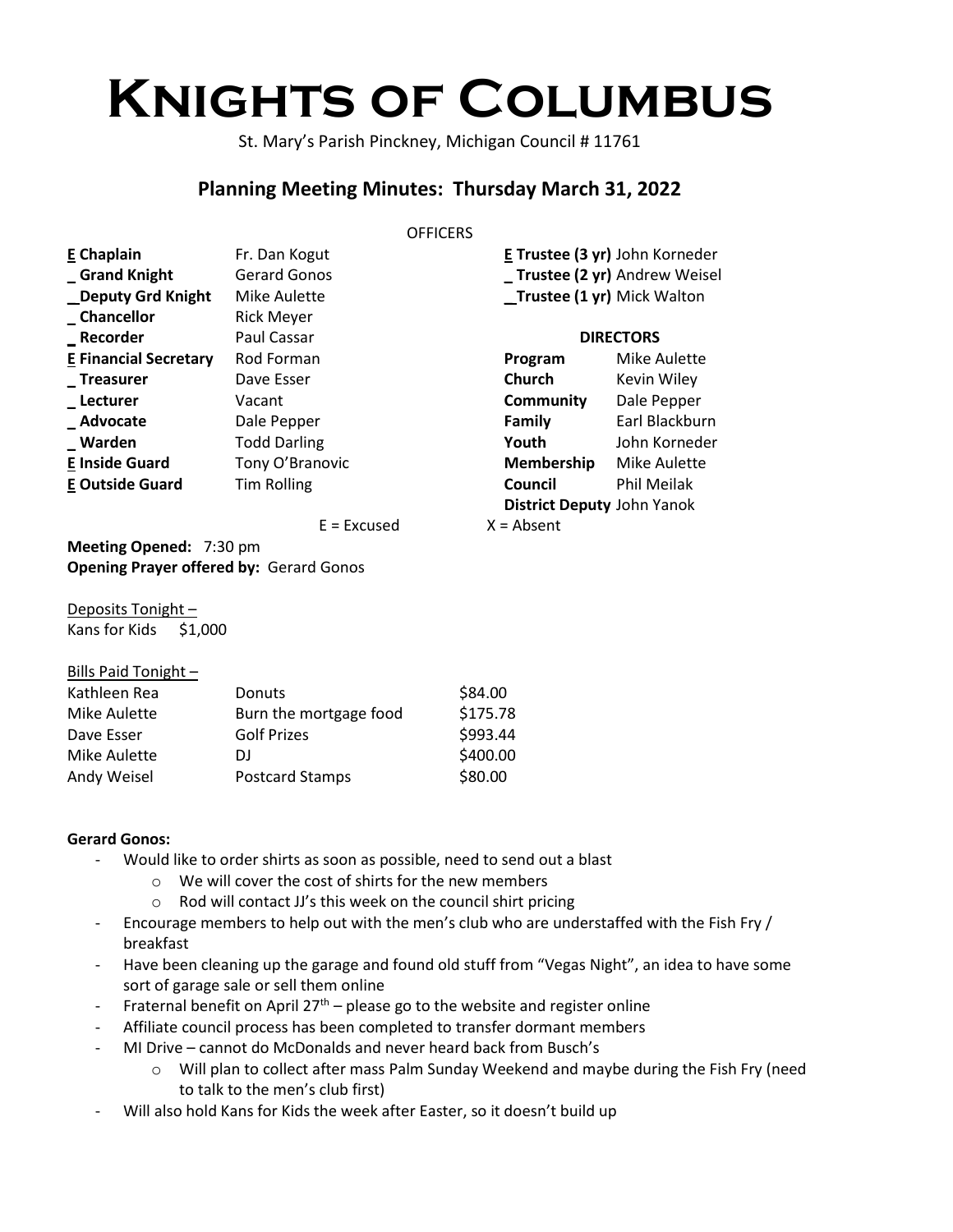# **Knights of Columbus**

St. Mary's Parish Pinckney, Michigan Council # 11761

## **Planning Meeting Minutes: Thursday March 31, 2022**

#### **OFFICERS**

| <b>E</b> Chaplain            | Fr. Dan Kogut       |                                   | E Trustee (3 yr) John Korneder |
|------------------------------|---------------------|-----------------------------------|--------------------------------|
| Grand Knight                 | <b>Gerard Gonos</b> |                                   | _Trustee (2 yr) Andrew Weisel  |
| _Deputy Grd Knight           | <b>Mike Aulette</b> | _Trustee (1 yr) Mick Walton       |                                |
| _Chancellor                  | <b>Rick Meyer</b>   |                                   |                                |
| <b>Recorder</b>              | Paul Cassar         | <b>DIRECTORS</b>                  |                                |
| <b>E Financial Secretary</b> | Rod Forman          | Program                           | Mike Aulette                   |
| <b>Treasurer</b>             | Dave Esser          | Church                            | Kevin Wiley                    |
| _Lecturer                    | Vacant              | Community                         | Dale Pepper                    |
| Advocate                     | Dale Pepper         | Family                            | Earl Blackburn                 |
| _Warden                      | <b>Todd Darling</b> | Youth                             | John Korneder                  |
| <b>E Inside Guard</b>        | Tony O'Branovic     | Membership                        | <b>Mike Aulette</b>            |
| <b>E Outside Guard</b>       | Tim Rolling         | Council                           | Phil Meilak                    |
|                              |                     | <b>District Deputy John Yanok</b> |                                |
|                              | $E = Excused$       | $X = Absent$                      |                                |

**Meeting Opened:** 7:30 pm **Opening Prayer offered by:** Gerard Gonos

Deposits Tonight – Kans for Kids \$1,000

Bills Paid Tonight –

| $PII$ Paid Tonight $-$ |                        |          |
|------------------------|------------------------|----------|
| Kathleen Rea           | Donuts                 | \$84.00  |
| Mike Aulette           | Burn the mortgage food | \$175.78 |
| Dave Esser             | <b>Golf Prizes</b>     | \$993.44 |
| Mike Aulette           | DI                     | \$400.00 |
| Andy Weisel            | <b>Postcard Stamps</b> | \$80.00  |
|                        |                        |          |

### **Gerard Gonos:**

- Would like to order shirts as soon as possible, need to send out a blast
	- o We will cover the cost of shirts for the new members
	- o Rod will contact JJ's this week on the council shirt pricing
- Encourage members to help out with the men's club who are understaffed with the Fish Fry / breakfast
- Have been cleaning up the garage and found old stuff from "Vegas Night", an idea to have some sort of garage sale or sell them online
- Fraternal benefit on April  $27<sup>th</sup>$  please go to the website and register online
- Affiliate council process has been completed to transfer dormant members
- MI Drive cannot do McDonalds and never heard back from Busch's
	- o Will plan to collect after mass Palm Sunday Weekend and maybe during the Fish Fry (need to talk to the men's club first)
- Will also hold Kans for Kids the week after Easter, so it doesn't build up